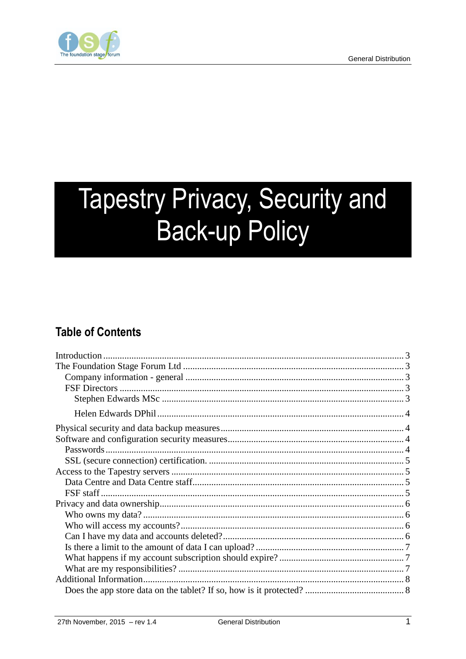

# **Tapestry Privacy, Security and Back-up Policy**

## **Table of Contents**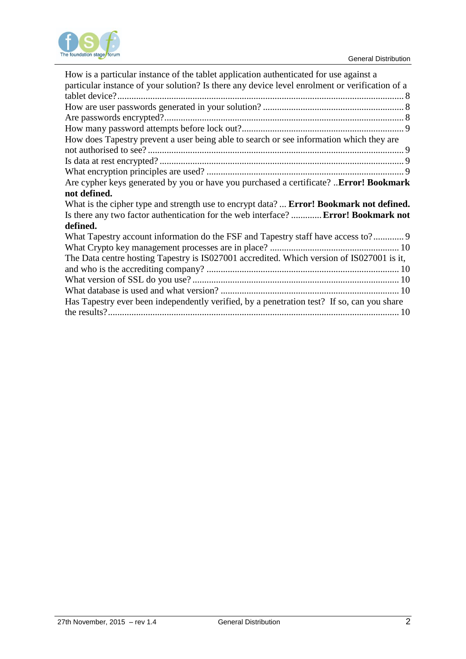

| How is a particular instance of the tablet application authenticated for use against a<br>particular instance of your solution? Is there any device level enrolment or verification of a |
|------------------------------------------------------------------------------------------------------------------------------------------------------------------------------------------|
|                                                                                                                                                                                          |
|                                                                                                                                                                                          |
|                                                                                                                                                                                          |
|                                                                                                                                                                                          |
| How does Tapestry prevent a user being able to search or see information which they are                                                                                                  |
|                                                                                                                                                                                          |
|                                                                                                                                                                                          |
|                                                                                                                                                                                          |
| Are cypher keys generated by you or have you purchased a certificate? Error! Bookmark                                                                                                    |
|                                                                                                                                                                                          |
| not defined.                                                                                                                                                                             |
| What is the cipher type and strength use to encrypt data? <b>Error! Bookmark not defined.</b>                                                                                            |
| Is there any two factor authentication for the web interface?  Error! Bookmark not                                                                                                       |
| defined.                                                                                                                                                                                 |
| What Tapestry account information do the FSF and Tapestry staff have access to?                                                                                                          |
|                                                                                                                                                                                          |
| The Data centre hosting Tapestry is IS027001 accredited. Which version of IS027001 is it,                                                                                                |
|                                                                                                                                                                                          |
|                                                                                                                                                                                          |
|                                                                                                                                                                                          |
| Has Tapestry ever been independently verified, by a penetration test? If so, can you share                                                                                               |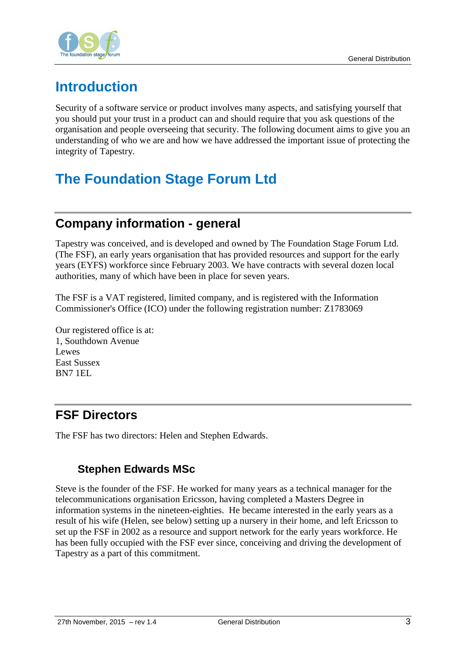

# <span id="page-2-0"></span>**Introduction**

Security of a software service or product involves many aspects, and satisfying yourself that you should put your trust in a product can and should require that you ask questions of the organisation and people overseeing that security. The following document aims to give you an understanding of who we are and how we have addressed the important issue of protecting the integrity of Tapestry.

# <span id="page-2-1"></span>**The Foundation Stage Forum Ltd**

# <span id="page-2-2"></span>**Company information - general**

Tapestry was conceived, and is developed and owned by The Foundation Stage Forum Ltd. (The FSF), an early years organisation that has provided resources and support for the early years (EYFS) workforce since February 2003. We have contracts with several dozen local authorities, many of which have been in place for seven years.

The FSF is a VAT registered, limited company, and is registered with the Information Commissioner's Office (ICO) under the following registration number: Z1783069

Our registered office is at: 1, Southdown Avenue Lewes East Sussex BN7 1EL

# <span id="page-2-3"></span>**FSF Directors**

<span id="page-2-4"></span>The FSF has two directors: Helen and Stephen Edwards.

#### **Stephen Edwards MSc**

Steve is the founder of the FSF. He worked for many years as a technical manager for the telecommunications organisation Ericsson, having completed a Masters Degree in information systems in the nineteen-eighties. He became interested in the early years as a result of his wife (Helen, see below) setting up a nursery in their home, and left Ericsson to set up the FSF in 2002 as a resource and support network for the early years workforce. He has been fully occupied with the FSF ever since, conceiving and driving the development of Tapestry as a part of this commitment.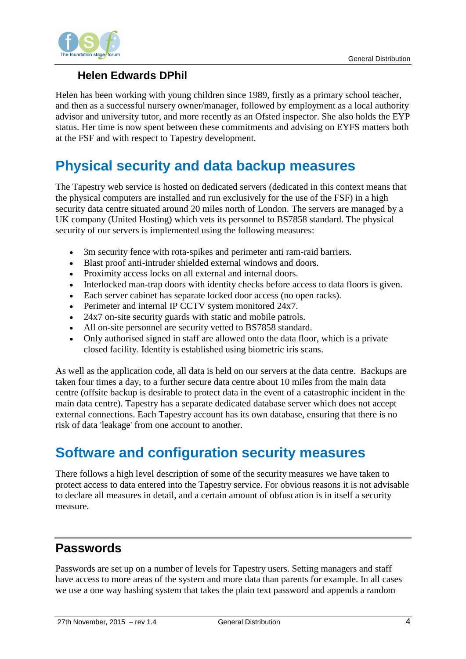

#### **Helen Edwards DPhil**

<span id="page-3-0"></span>Helen has been working with young children since 1989, firstly as a primary school teacher, and then as a successful nursery owner/manager, followed by employment as a local authority advisor and university tutor, and more recently as an Ofsted inspector. She also holds the EYP status. Her time is now spent between these commitments and advising on EYFS matters both at the FSF and with respect to Tapestry development.

# <span id="page-3-1"></span>**Physical security and data backup measures**

The Tapestry web service is hosted on dedicated servers (dedicated in this context means that the physical computers are installed and run exclusively for the use of the FSF) in a high security data centre situated around 20 miles north of London. The servers are managed by a UK company (United Hosting) which vets its personnel to BS7858 standard. The physical security of our servers is implemented using the following measures:

- 3m security fence with rota-spikes and perimeter anti ram-raid barriers.
- Blast proof anti-intruder shielded external windows and doors.
- Proximity access locks on all external and internal doors.
- Interlocked man-trap doors with identity checks before access to data floors is given.
- Each server cabinet has separate locked door access (no open racks).
- Perimeter and internal IP CCTV system monitored 24x7.
- 24x7 on-site security guards with static and mobile patrols.
- All on-site personnel are security vetted to BS7858 standard.
- Only authorised signed in staff are allowed onto the data floor, which is a private closed facility. Identity is established using biometric iris scans.

As well as the application code, all data is held on our servers at the data centre. Backups are taken four times a day, to a further secure data centre about 10 miles from the main data centre (offsite backup is desirable to protect data in the event of a catastrophic incident in the main data centre). Tapestry has a separate dedicated database server which does not accept external connections. Each Tapestry account has its own database, ensuring that there is no risk of data 'leakage' from one account to another.

# <span id="page-3-2"></span>**Software and configuration security measures**

There follows a high level description of some of the security measures we have taken to protect access to data entered into the Tapestry service. For obvious reasons it is not advisable to declare all measures in detail, and a certain amount of obfuscation is in itself a security measure.

# <span id="page-3-3"></span>**Passwords**

Passwords are set up on a number of levels for Tapestry users. Setting managers and staff have access to more areas of the system and more data than parents for example. In all cases we use a one way hashing system that takes the plain text password and appends a random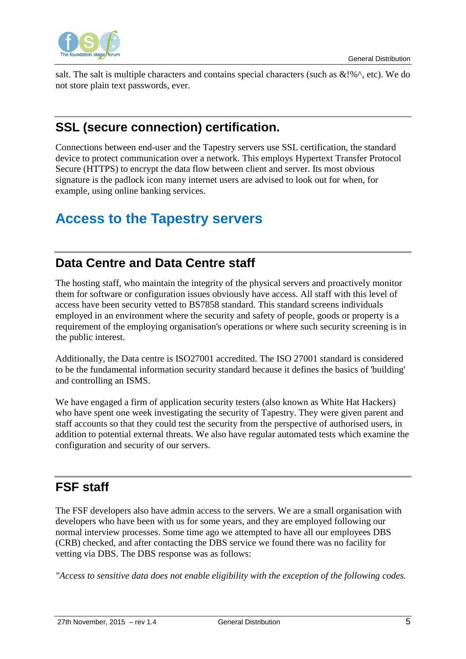

<span id="page-4-0"></span>salt. The salt is multiple characters and contains special characters (such as  $\&\text{!%}^{\wedge}$ , etc). We do not store plain text passwords, ever.

# **SSL (secure connection) certification.**

Connections between end-user and the Tapestry servers use SSL certification, the standard device to protect communication over a network. This employs Hypertext Transfer Protocol Secure (HTTPS) to encrypt the data flow between client and server. Its most obvious signature is the padlock icon many internet users are advised to look out for when, for example, using online banking services.

# <span id="page-4-1"></span>**Access to the Tapestry servers**

## <span id="page-4-2"></span>**Data Centre and Data Centre staff**

The hosting staff, who maintain the integrity of the physical servers and proactively monitor them for software or configuration issues obviously have access. All staff with this level of access have been security vetted to BS7858 standard. This standard screens individuals employed in an environment where the security and safety of people, goods or property is a requirement of the employing organisation's operations or where such security screening is in the public interest.

Additionally, the Data centre is ISO27001 accredited. The ISO 27001 standard is considered to be the fundamental information security standard because it defines the basics of 'building' and controlling an ISMS.

We have engaged a firm of application security testers (also known as White Hat Hackers) who have spent one week investigating the security of Tapestry. They were given parent and staff accounts so that they could test the security from the perspective of authorised users, in addition to potential external threats. We also have regular automated tests which examine the configuration and security of our servers.

# <span id="page-4-3"></span>**FSF staff**

The FSF developers also have admin access to the servers. We are a small organisation with developers who have been with us for some years, and they are employed following our normal interview processes. Some time ago we attempted to have all our employees DBS (CRB) checked, and after contacting the DBS service we found there was no facility for vetting via DBS. The DBS response was as follows:

*"Access to sensitive data does not enable eligibility with the exception of the following codes.*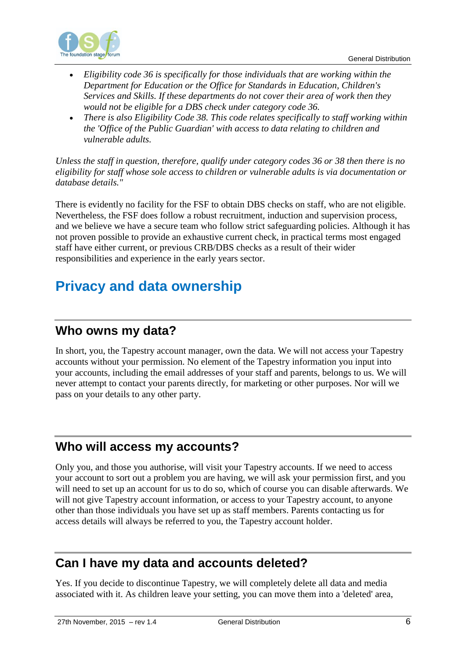

- *Eligibility code 36 is specifically for those individuals that are working within the Department for Education or the Office for Standards in Education, Children's Services and Skills. If these departments do not cover their area of work then they would not be eligible for a DBS check under category code 36.*
- *There is also Eligibility Code 38. This code relates specifically to staff working within the 'Office of the Public Guardian' with access to data relating to children and vulnerable adults.*

*Unless the staff in question, therefore, qualify under category codes 36 or 38 then there is no eligibility for staff whose sole access to children or vulnerable adults is via documentation or database details."*

There is evidently no facility for the FSF to obtain DBS checks on staff, who are not eligible. Nevertheless, the FSF does follow a robust recruitment, induction and supervision process, and we believe we have a secure team who follow strict safeguarding policies. Although it has not proven possible to provide an exhaustive current check, in practical terms most engaged staff have either current, or previous CRB/DBS checks as a result of their wider responsibilities and experience in the early years sector.

# <span id="page-5-0"></span>**Privacy and data ownership**

#### <span id="page-5-1"></span>**Who owns my data?**

In short, you, the Tapestry account manager, own the data. We will not access your Tapestry accounts without your permission. No element of the Tapestry information you input into your accounts, including the email addresses of your staff and parents, belongs to us. We will never attempt to contact your parents directly, for marketing or other purposes. Nor will we pass on your details to any other party.

#### <span id="page-5-2"></span>**Who will access my accounts?**

Only you, and those you authorise, will visit your Tapestry accounts. If we need to access your account to sort out a problem you are having, we will ask your permission first, and you will need to set up an account for us to do so, which of course you can disable afterwards. We will not give Tapestry account information, or access to your Tapestry account, to anyone other than those individuals you have set up as staff members. Parents contacting us for access details will always be referred to you, the Tapestry account holder.

#### <span id="page-5-3"></span>**Can I have my data and accounts deleted?**

Yes. If you decide to discontinue Tapestry, we will completely delete all data and media associated with it. As children leave your setting, you can move them into a 'deleted' area,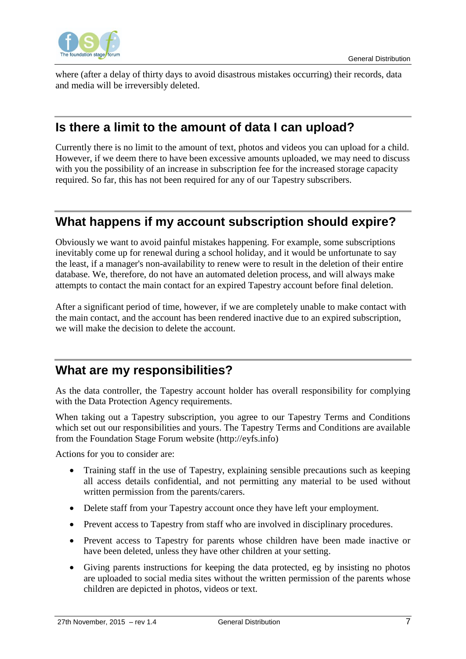

<span id="page-6-0"></span>where (after a delay of thirty days to avoid disastrous mistakes occurring) their records, data and media will be irreversibly deleted.

#### **Is there a limit to the amount of data I can upload?**

Currently there is no limit to the amount of text, photos and videos you can upload for a child. However, if we deem there to have been excessive amounts uploaded, we may need to discuss with you the possibility of an increase in subscription fee for the increased storage capacity required. So far, this has not been required for any of our Tapestry subscribers.

## <span id="page-6-1"></span>**What happens if my account subscription should expire?**

Obviously we want to avoid painful mistakes happening. For example, some subscriptions inevitably come up for renewal during a school holiday, and it would be unfortunate to say the least, if a manager's non-availability to renew were to result in the deletion of their entire database. We, therefore, do not have an automated deletion process, and will always make attempts to contact the main contact for an expired Tapestry account before final deletion.

After a significant period of time, however, if we are completely unable to make contact with the main contact, and the account has been rendered inactive due to an expired subscription, we will make the decision to delete the account.

# <span id="page-6-2"></span>**What are my responsibilities?**

As the data controller, the Tapestry account holder has overall responsibility for complying with the Data Protection Agency requirements.

When taking out a Tapestry subscription, you agree to our Tapestry Terms and Conditions which set out our responsibilities and yours. The Tapestry Terms and Conditions are available from the Foundation Stage Forum website (http://eyfs.info)

Actions for you to consider are:

- Training staff in the use of Tapestry, explaining sensible precautions such as keeping all access details confidential, and not permitting any material to be used without written permission from the parents/carers.
- Delete staff from your Tapestry account once they have left your employment.
- Prevent access to Tapestry from staff who are involved in disciplinary procedures.
- Prevent access to Tapestry for parents whose children have been made inactive or have been deleted, unless they have other children at your setting.
- Giving parents instructions for keeping the data protected, eg by insisting no photos are uploaded to social media sites without the written permission of the parents whose children are depicted in photos, videos or text.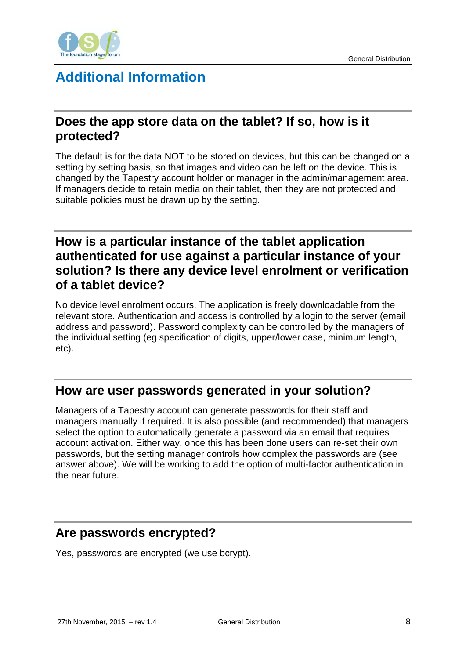

# <span id="page-7-0"></span>**Additional Information**

#### <span id="page-7-1"></span>**Does the app store data on the tablet? If so, how is it protected?**

The default is for the data NOT to be stored on devices, but this can be changed on a setting by setting basis, so that images and video can be left on the device. This is changed by the Tapestry account holder or manager in the admin/management area. If managers decide to retain media on their tablet, then they are not protected and suitable policies must be drawn up by the setting.

#### <span id="page-7-2"></span>**How is a particular instance of the tablet application authenticated for use against a particular instance of your solution? Is there any device level enrolment or verification of a tablet device?**

No device level enrolment occurs. The application is freely downloadable from the relevant store. Authentication and access is controlled by a login to the server (email address and password). Password complexity can be controlled by the managers of the individual setting (eg specification of digits, upper/lower case, minimum length, etc).

#### <span id="page-7-3"></span>**How are user passwords generated in your solution?**

Managers of a Tapestry account can generate passwords for their staff and managers manually if required. It is also possible (and recommended) that managers select the option to automatically generate a password via an email that requires account activation. Either way, once this has been done users can re-set their own passwords, but the setting manager controls how complex the passwords are (see answer above). We will be working to add the option of multi-factor authentication in the near future.

#### <span id="page-7-4"></span>**Are passwords encrypted?**

Yes, passwords are encrypted (we use bcrypt).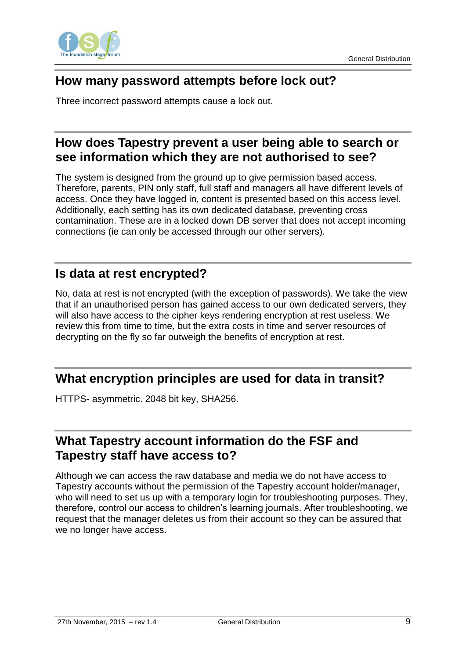

## <span id="page-8-0"></span>**How many password attempts before lock out?**

<span id="page-8-1"></span>Three incorrect password attempts cause a lock out.

#### **How does Tapestry prevent a user being able to search or see information which they are not authorised to see?**

The system is designed from the ground up to give permission based access. Therefore, parents, PIN only staff, full staff and managers all have different levels of access. Once they have logged in, content is presented based on this access level. Additionally, each setting has its own dedicated database, preventing cross contamination. These are in a locked down DB server that does not accept incoming connections (ie can only be accessed through our other servers).

#### <span id="page-8-2"></span>**Is data at rest encrypted?**

No, data at rest is not encrypted (with the exception of passwords). We take the view that if an unauthorised person has gained access to our own dedicated servers, they will also have access to the cipher keys rendering encryption at rest useless. We review this from time to time, but the extra costs in time and server resources of decrypting on the fly so far outweigh the benefits of encryption at rest.

#### <span id="page-8-3"></span>**What encryption principles are used for data in transit?**

<span id="page-8-4"></span>HTTPS- asymmetric. 2048 bit key, SHA256.

#### **What Tapestry account information do the FSF and Tapestry staff have access to?**

Although we can access the raw database and media we do not have access to Tapestry accounts without the permission of the Tapestry account holder/manager, who will need to set us up with a temporary login for troubleshooting purposes. They, therefore, control our access to children's learning journals. After troubleshooting, we request that the manager deletes us from their account so they can be assured that we no longer have access.